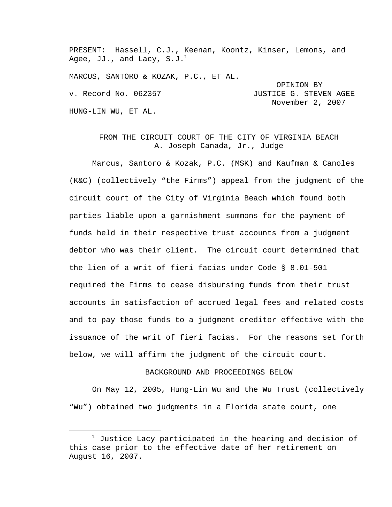PRESENT: Hassell, C.J., Keenan, Koontz, Kinser, Lemons, and Agee, JJ., and Lacy,  $S.J.^{\perp}$ MARCUS, SANTORO & KOZAK, P.C., ET AL. OPINION BY v. Record No. 062357 **JUSTICE G. STEVEN AGEE**  November 2, 2007 HUNG-LIN WU, ET AL.

## FROM THE CIRCUIT COURT OF THE CITY OF VIRGINIA BEACH A. Joseph Canada, Jr., Judge

Marcus, Santoro & Kozak, P.C. (MSK) and Kaufman & Canoles (K&C) (collectively "the Firms") appeal from the judgment of the circuit court of the City of Virginia Beach which found both parties liable upon a garnishment summons for the payment of funds held in their respective trust accounts from a judgment debtor who was their client. The circuit court determined that the lien of a writ of fieri facias under Code § 8.01-501 required the Firms to cease disbursing funds from their trust accounts in satisfaction of accrued legal fees and related costs and to pay those funds to a judgment creditor effective with the issuance of the writ of fieri facias. For the reasons set forth below, we will affirm the judgment of the circuit court.

## BACKGROUND AND PROCEEDINGS BELOW

On May 12, 2005, Hung-Lin Wu and the Wu Trust (collectively "Wu") obtained two judgments in a Florida state court, one

 $\begin{array}{c}\n\hline\n\hline\n\hline\n\hline\n\hline\n\end{array}$  $^1$  Justice Lacy participated in the hearing and decision of this case prior to the effective date of her retirement on August 16, 2007.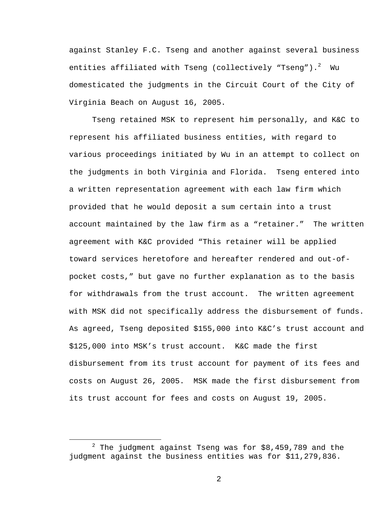against Stanley F.C. Tseng and another against several business entities affiliated with Tseng (collectively "Tseng"). $^2\,$  Wu domesticated the judgments in the Circuit Court of the City of Virginia Beach on August 16, 2005.

Tseng retained MSK to represent him personally, and K&C to represent his affiliated business entities, with regard to various proceedings initiated by Wu in an attempt to collect on the judgments in both Virginia and Florida. Tseng entered into a written representation agreement with each law firm which provided that he would deposit a sum certain into a trust account maintained by the law firm as a "retainer." The written agreement with K&C provided "This retainer will be applied toward services heretofore and hereafter rendered and out-ofpocket costs," but gave no further explanation as to the basis for withdrawals from the trust account. The written agreement with MSK did not specifically address the disbursement of funds. As agreed, Tseng deposited \$155,000 into K&C's trust account and \$125,000 into MSK's trust account. K&C made the first disbursement from its trust account for payment of its fees and costs on August 26, 2005. MSK made the first disbursement from its trust account for fees and costs on August 19, 2005.

 $\begin{array}{c|c}\n\hline\n\end{array}$  $2$  The judgment against Tseng was for \$8,459,789 and the judgment against the business entities was for \$11,279,836.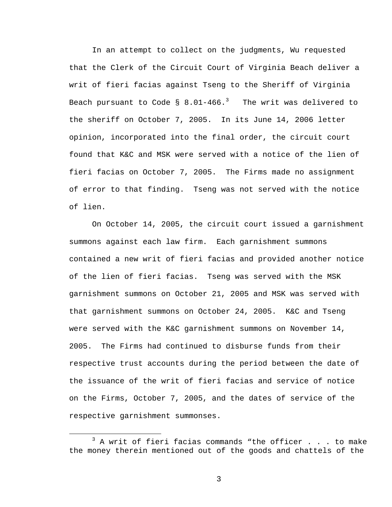In an attempt to collect on the judgments, Wu requested that the Clerk of the Circuit Court of Virginia Beach deliver a writ of fieri facias against Tseng to the Sheriff of Virginia Beach pursuant to Code §  $8.01\textrm{--}466.$   $^3$  The writ was delivered to the sheriff on October 7, 2005. In its June 14, 2006 letter opinion, incorporated into the final order, the circuit court found that K&C and MSK were served with a notice of the lien of fieri facias on October 7, 2005. The Firms made no assignment of error to that finding. Tseng was not served with the notice of lien.

On October 14, 2005, the circuit court issued a garnishment summons against each law firm. Each garnishment summons contained a new writ of fieri facias and provided another notice of the lien of fieri facias. Tseng was served with the MSK garnishment summons on October 21, 2005 and MSK was served with that garnishment summons on October 24, 2005. K&C and Tseng were served with the K&C garnishment summons on November 14, 2005. The Firms had continued to disburse funds from their respective trust accounts during the period between the date of the issuance of the writ of fieri facias and service of notice on the Firms, October 7, 2005, and the dates of service of the respective garnishment summonses.

 $\overline{\phantom{a}}$  3  $3$  A writ of fieri facias commands "the officer . . . to make the money therein mentioned out of the goods and chattels of the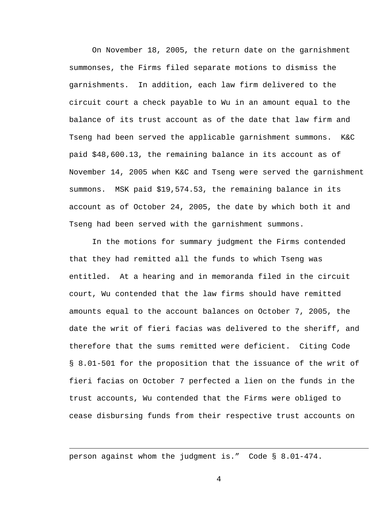On November 18, 2005, the return date on the garnishment summonses, the Firms filed separate motions to dismiss the garnishments. In addition, each law firm delivered to the circuit court a check payable to Wu in an amount equal to the balance of its trust account as of the date that law firm and Tseng had been served the applicable garnishment summons. K&C paid \$48,600.13, the remaining balance in its account as of November 14, 2005 when K&C and Tseng were served the garnishment summons. MSK paid \$19,574.53, the remaining balance in its account as of October 24, 2005, the date by which both it and Tseng had been served with the garnishment summons.

In the motions for summary judgment the Firms contended that they had remitted all the funds to which Tseng was entitled. At a hearing and in memoranda filed in the circuit court, Wu contended that the law firms should have remitted amounts equal to the account balances on October 7, 2005, the date the writ of fieri facias was delivered to the sheriff, and therefore that the sums remitted were deficient. Citing Code § 8.01-501 for the proposition that the issuance of the writ of fieri facias on October 7 perfected a lien on the funds in the trust accounts, Wu contended that the Firms were obliged to cease disbursing funds from their respective trust accounts on

person against whom the judgment is." Code § 8.01-474.

i<br>Li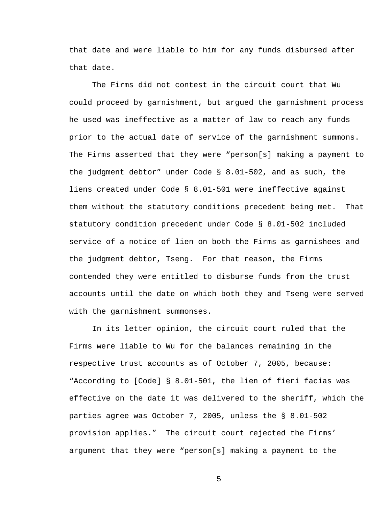that date and were liable to him for any funds disbursed after that date.

The Firms did not contest in the circuit court that Wu could proceed by garnishment, but argued the garnishment process he used was ineffective as a matter of law to reach any funds prior to the actual date of service of the garnishment summons. The Firms asserted that they were "person[s] making a payment to the judgment debtor" under Code § 8.01-502, and as such, the liens created under Code § 8.01-501 were ineffective against them without the statutory conditions precedent being met. That statutory condition precedent under Code § 8.01-502 included service of a notice of lien on both the Firms as garnishees and the judgment debtor, Tseng. For that reason, the Firms contended they were entitled to disburse funds from the trust accounts until the date on which both they and Tseng were served with the garnishment summonses.

In its letter opinion, the circuit court ruled that the Firms were liable to Wu for the balances remaining in the respective trust accounts as of October 7, 2005, because: "According to [Code] § 8.01-501, the lien of fieri facias was effective on the date it was delivered to the sheriff, which the parties agree was October 7, 2005, unless the § 8.01-502 provision applies." The circuit court rejected the Firms' argument that they were "person[s] making a payment to the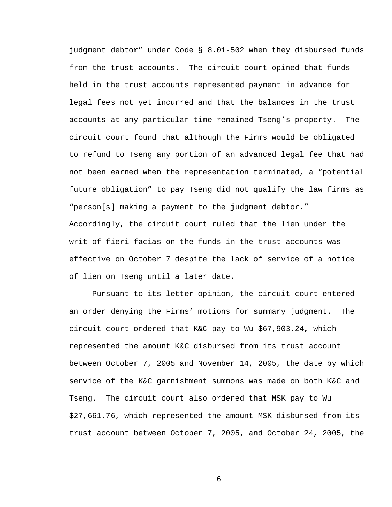judgment debtor" under Code § 8.01-502 when they disbursed funds from the trust accounts. The circuit court opined that funds held in the trust accounts represented payment in advance for legal fees not yet incurred and that the balances in the trust accounts at any particular time remained Tseng's property. The circuit court found that although the Firms would be obligated to refund to Tseng any portion of an advanced legal fee that had not been earned when the representation terminated, a "potential future obligation" to pay Tseng did not qualify the law firms as "person[s] making a payment to the judgment debtor." Accordingly, the circuit court ruled that the lien under the writ of fieri facias on the funds in the trust accounts was effective on October 7 despite the lack of service of a notice of lien on Tseng until a later date.

Pursuant to its letter opinion, the circuit court entered an order denying the Firms' motions for summary judgment. The circuit court ordered that K&C pay to Wu \$67,903.24, which represented the amount K&C disbursed from its trust account between October 7, 2005 and November 14, 2005, the date by which service of the K&C garnishment summons was made on both K&C and Tseng. The circuit court also ordered that MSK pay to Wu \$27,661.76, which represented the amount MSK disbursed from its trust account between October 7, 2005, and October 24, 2005, the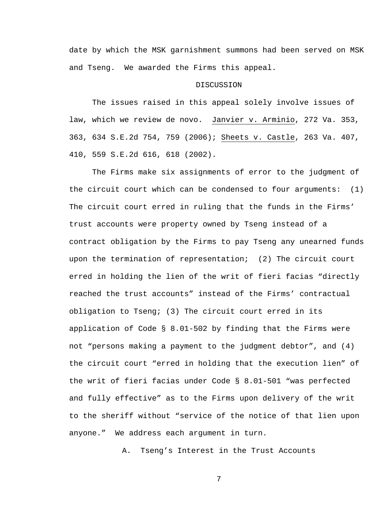date by which the MSK garnishment summons had been served on MSK and Tseng. We awarded the Firms this appeal.

## **DISCUSSION**

The issues raised in this appeal solely involve issues of law, which we review de novo. Janvier v. Arminio, 272 Va. 353, 363, 634 S.E.2d 754, 759 (2006); Sheets v. Castle, 263 Va. 407, 410, 559 S.E.2d 616, 618 (2002).

The Firms make six assignments of error to the judgment of the circuit court which can be condensed to four arguments: (1) The circuit court erred in ruling that the funds in the Firms' trust accounts were property owned by Tseng instead of a contract obligation by the Firms to pay Tseng any unearned funds upon the termination of representation; (2) The circuit court erred in holding the lien of the writ of fieri facias "directly reached the trust accounts" instead of the Firms' contractual obligation to Tseng; (3) The circuit court erred in its application of Code § 8.01-502 by finding that the Firms were not "persons making a payment to the judgment debtor", and (4) the circuit court "erred in holding that the execution lien" of the writ of fieri facias under Code § 8.01-501 "was perfected and fully effective" as to the Firms upon delivery of the writ to the sheriff without "service of the notice of that lien upon anyone." We address each argument in turn.

A. Tseng's Interest in the Trust Accounts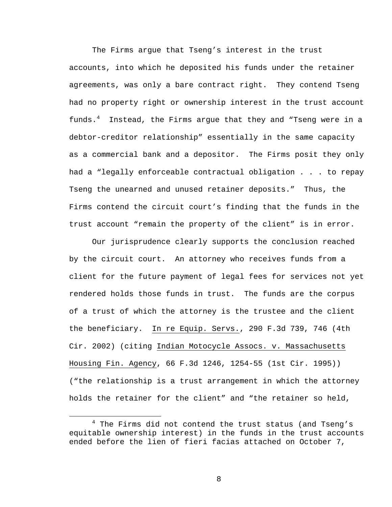The Firms argue that Tseng's interest in the trust accounts, into which he deposited his funds under the retainer agreements, was only a bare contract right. They contend Tseng had no property right or ownership interest in the trust account funds.<sup>4</sup> Instead, the Firms argue that they and "Tseng were in a debtor-creditor relationship" essentially in the same capacity as a commercial bank and a depositor. The Firms posit they only had a "legally enforceable contractual obligation . . . to repay Tseng the unearned and unused retainer deposits." Thus, the Firms contend the circuit court's finding that the funds in the trust account "remain the property of the client" is in error.

Our jurisprudence clearly supports the conclusion reached by the circuit court. An attorney who receives funds from a client for the future payment of legal fees for services not yet rendered holds those funds in trust. The funds are the corpus of a trust of which the attorney is the trustee and the client the beneficiary. In re Equip. Servs., 290 F.3d 739, 746 (4th Cir. 2002) (citing Indian Motocycle Assocs. v. Massachusetts Housing Fin. Agency, 66 F.3d 1246, 1254-55 (1st Cir. 1995)) ("the relationship is a trust arrangement in which the attorney holds the retainer for the client" and "the retainer so held,

 $\overline{4}$  $4$  The Firms did not contend the trust status (and Tseng's equitable ownership interest) in the funds in the trust accounts ended before the lien of fieri facias attached on October 7,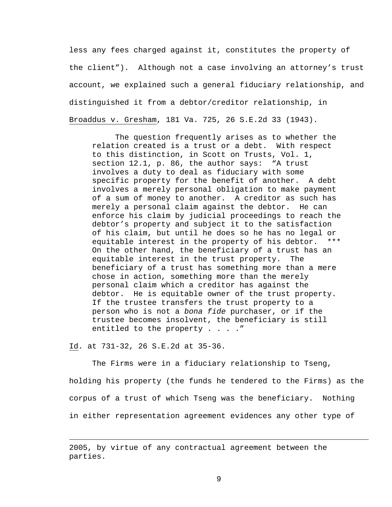less any fees charged against it, constitutes the property of the client"). Although not a case involving an attorney's trust account, we explained such a general fiduciary relationship, and distinguished it from a debtor/creditor relationship, in Broaddus v. Gresham, 181 Va. 725, 26 S.E.2d 33 (1943).

The question frequently arises as to whether the relation created is a trust or a debt. With respect to this distinction, in Scott on Trusts, Vol. 1, section 12.1, p. 86, the author says: "A trust involves a duty to deal as fiduciary with some specific property for the benefit of another. A debt involves a merely personal obligation to make payment of a sum of money to another. A creditor as such has merely a personal claim against the debtor. He can enforce his claim by judicial proceedings to reach the debtor's property and subject it to the satisfaction of his claim, but until he does so he has no legal or equitable interest in the property of his debtor. \*\*\* On the other hand, the beneficiary of a trust has an equitable interest in the trust property. The beneficiary of a trust has something more than a mere chose in action, something more than the merely personal claim which a creditor has against the debtor. He is equitable owner of the trust property. If the trustee transfers the trust property to a person who is not a *bona fide* purchaser, or if the trustee becomes insolvent, the beneficiary is still entitled to the property . . . ."

Id. at 731-32, 26 S.E.2d at 35-36.

i<br>Li

The Firms were in a fiduciary relationship to Tseng, holding his property (the funds he tendered to the Firms) as the corpus of a trust of which Tseng was the beneficiary. Nothing in either representation agreement evidences any other type of

<sup>2005,</sup> by virtue of any contractual agreement between the parties.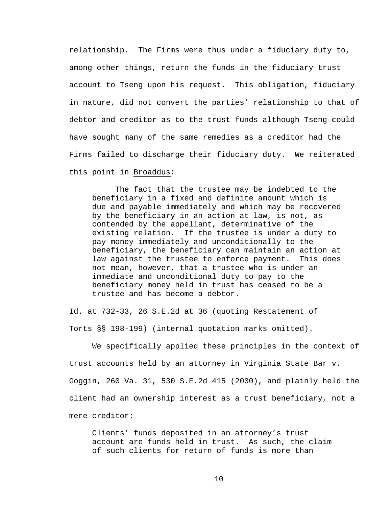relationship. The Firms were thus under a fiduciary duty to, among other things, return the funds in the fiduciary trust account to Tseng upon his request. This obligation, fiduciary in nature, did not convert the parties' relationship to that of debtor and creditor as to the trust funds although Tseng could have sought many of the same remedies as a creditor had the Firms failed to discharge their fiduciary duty. We reiterated this point in Broaddus:

The fact that the trustee may be indebted to the beneficiary in a fixed and definite amount which is due and payable immediately and which may be recovered by the beneficiary in an action at law, is not, as contended by the appellant, determinative of the existing relation. If the trustee is under a duty to pay money immediately and unconditionally to the beneficiary, the beneficiary can maintain an action at law against the trustee to enforce payment. This does not mean, however, that a trustee who is under an immediate and unconditional duty to pay to the beneficiary money held in trust has ceased to be a trustee and has become a debtor.

Id. at 732-33, 26 S.E.2d at 36 (quoting Restatement of Torts §§ 198-199) (internal quotation marks omitted).

We specifically applied these principles in the context of trust accounts held by an attorney in Virginia State Bar v. Goggin, 260 Va. 31, 530 S.E.2d 415 (2000), and plainly held the client had an ownership interest as a trust beneficiary, not a mere creditor:

Clients' funds deposited in an attorney's trust account are funds held in trust. As such, the claim of such clients for return of funds is more than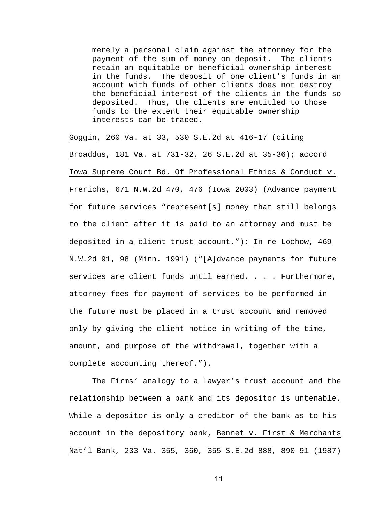merely a personal claim against the attorney for the payment of the sum of money on deposit. The clients retain an equitable or beneficial ownership interest in the funds. The deposit of one client's funds in an account with funds of other clients does not destroy the beneficial interest of the clients in the funds so deposited. Thus, the clients are entitled to those funds to the extent their equitable ownership interests can be traced.

Goggin, 260 Va. at 33, 530 S.E.2d at 416-17 (citing Broaddus, 181 Va. at 731-32, 26 S.E.2d at 35-36); accord Iowa Supreme Court Bd. Of Professional Ethics & Conduct v. Frerichs, 671 N.W.2d 470, 476 (Iowa 2003) (Advance payment for future services "represent[s] money that still belongs to the client after it is paid to an attorney and must be deposited in a client trust account."); In re Lochow, 469 N.W.2d 91, 98 (Minn. 1991) ("[A]dvance payments for future services are client funds until earned. . . . Furthermore, attorney fees for payment of services to be performed in the future must be placed in a trust account and removed only by giving the client notice in writing of the time, amount, and purpose of the withdrawal, together with a complete accounting thereof.").

The Firms' analogy to a lawyer's trust account and the relationship between a bank and its depositor is untenable. While a depositor is only a creditor of the bank as to his account in the depository bank, Bennet v. First & Merchants Nat'l Bank, 233 Va. 355, 360, 355 S.E.2d 888, 890-91 (1987)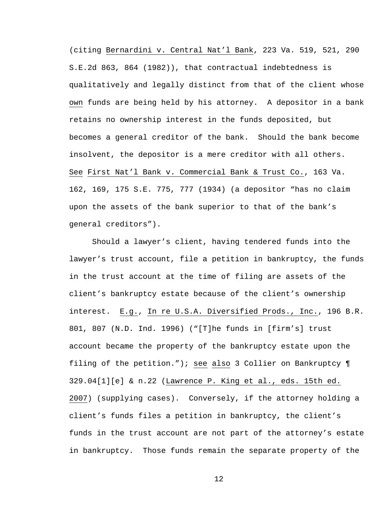(citing Bernardini v. Central Nat'l Bank, 223 Va. 519, 521, 290 S.E.2d 863, 864 (1982)), that contractual indebtedness is qualitatively and legally distinct from that of the client whose own funds are being held by his attorney. A depositor in a bank retains no ownership interest in the funds deposited, but becomes a general creditor of the bank. Should the bank become insolvent, the depositor is a mere creditor with all others. See First Nat'l Bank v. Commercial Bank & Trust Co., 163 Va. 162, 169, 175 S.E. 775, 777 (1934) (a depositor "has no claim upon the assets of the bank superior to that of the bank's general creditors").

Should a lawyer's client, having tendered funds into the lawyer's trust account, file a petition in bankruptcy, the funds in the trust account at the time of filing are assets of the client's bankruptcy estate because of the client's ownership interest. E.g., In re U.S.A. Diversified Prods., Inc., 196 B.R. 801, 807 (N.D. Ind. 1996) ("[T]he funds in [firm's] trust account became the property of the bankruptcy estate upon the filing of the petition."); see also 3 Collier on Bankruptcy ¶ 329.04[1][e] & n.22 (Lawrence P. King et al., eds. 15th ed. 2007) (supplying cases). Conversely, if the attorney holding a client's funds files a petition in bankruptcy, the client's funds in the trust account are not part of the attorney's estate in bankruptcy. Those funds remain the separate property of the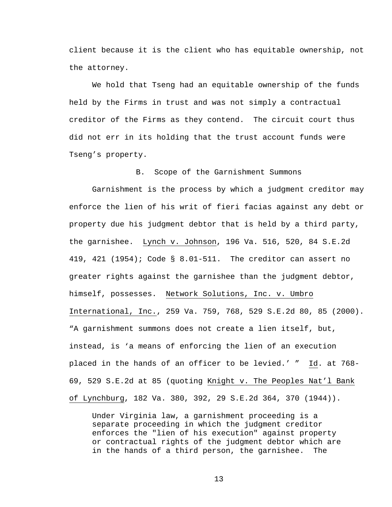client because it is the client who has equitable ownership, not the attorney.

We hold that Tseng had an equitable ownership of the funds held by the Firms in trust and was not simply a contractual creditor of the Firms as they contend. The circuit court thus did not err in its holding that the trust account funds were Tseng's property.

B. Scope of the Garnishment Summons

Garnishment is the process by which a judgment creditor may enforce the lien of his writ of fieri facias against any debt or property due his judgment debtor that is held by a third party, the garnishee. Lynch v. Johnson, 196 Va. 516, 520, 84 S.E.2d 419, 421 (1954); Code § 8.01-511. The creditor can assert no greater rights against the garnishee than the judgment debtor, himself, possesses. Network Solutions, Inc. v. Umbro International, Inc., 259 Va. 759, 768, 529 S.E.2d 80, 85 (2000). "A garnishment summons does not create a lien itself, but, instead, is 'a means of enforcing the lien of an execution placed in the hands of an officer to be levied.' " Id. at 768- 69, 529 S.E.2d at 85 (quoting Knight v. The Peoples Nat'l Bank of Lynchburg, 182 Va. 380, 392, 29 S.E.2d 364, 370 (1944)).

Under Virginia law, a garnishment proceeding is a separate proceeding in which the judgment creditor enforces the "lien of his execution" against property or contractual rights of the judgment debtor which are in the hands of a third person, the garnishee. The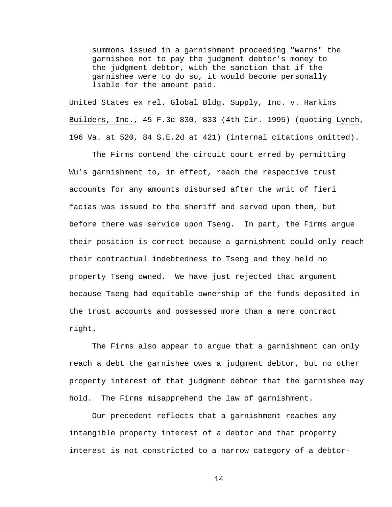summons issued in a garnishment proceeding "warns" the garnishee not to pay the judgment debtor's money to the judgment debtor, with the sanction that if the garnishee were to do so, it would become personally liable for the amount paid.

United States ex rel. Global Bldg. Supply, Inc. v. Harkins

Builders, Inc., 45 F.3d 830, 833 (4th Cir. 1995) (quoting Lynch, 196 Va. at 520, 84 S.E.2d at 421) (internal citations omitted).

The Firms contend the circuit court erred by permitting Wu's garnishment to, in effect, reach the respective trust accounts for any amounts disbursed after the writ of fieri facias was issued to the sheriff and served upon them, but before there was service upon Tseng. In part, the Firms argue their position is correct because a garnishment could only reach their contractual indebtedness to Tseng and they held no property Tseng owned. We have just rejected that argument because Tseng had equitable ownership of the funds deposited in the trust accounts and possessed more than a mere contract right.

The Firms also appear to argue that a garnishment can only reach a debt the garnishee owes a judgment debtor, but no other property interest of that judgment debtor that the garnishee may hold. The Firms misapprehend the law of garnishment.

 Our precedent reflects that a garnishment reaches any intangible property interest of a debtor and that property interest is not constricted to a narrow category of a debtor-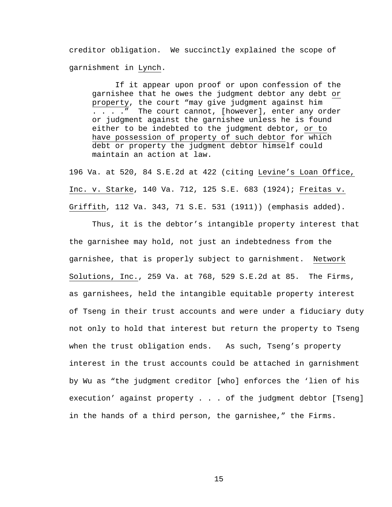creditor obligation. We succinctly explained the scope of garnishment in Lynch.

If it appear upon proof or upon confession of the garnishee that he owes the judgment debtor any debt or property, the court "may give judgment against him . . . ." The court cannot, [however], enter any order or judgment against the garnishee unless he is found either to be indebted to the judgment debtor, or to have possession of property of such debtor for which debt or property the judgment debtor himself could maintain an action at law.

196 Va. at 520, 84 S.E.2d at 422 (citing Levine's Loan Office, Inc. v. Starke, 140 Va. 712, 125 S.E. 683 (1924); Freitas v. Griffith, 112 Va. 343, 71 S.E. 531 (1911)) (emphasis added).

Thus, it is the debtor's intangible property interest that the garnishee may hold, not just an indebtedness from the garnishee, that is properly subject to garnishment. Network Solutions, Inc., 259 Va. at 768, 529 S.E.2d at 85. The Firms, as garnishees, held the intangible equitable property interest of Tseng in their trust accounts and were under a fiduciary duty not only to hold that interest but return the property to Tseng when the trust obligation ends. As such, Tseng's property interest in the trust accounts could be attached in garnishment by Wu as "the judgment creditor [who] enforces the 'lien of his execution' against property . . . of the judgment debtor [Tseng] in the hands of a third person, the garnishee," the Firms.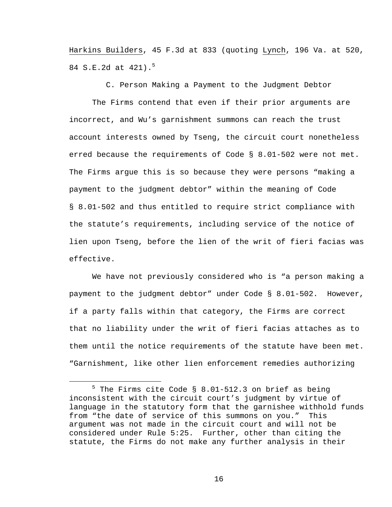Harkins Builders, 45 F.3d at 833 (quoting Lynch, 196 Va. at 520, 84 S.E.2d at 421).<sup>5</sup>

C. Person Making a Payment to the Judgment Debtor

 The Firms contend that even if their prior arguments are incorrect, and Wu's garnishment summons can reach the trust account interests owned by Tseng, the circuit court nonetheless erred because the requirements of Code § 8.01-502 were not met. The Firms argue this is so because they were persons "making a payment to the judgment debtor" within the meaning of Code § 8.01-502 and thus entitled to require strict compliance with the statute's requirements, including service of the notice of lien upon Tseng, before the lien of the writ of fieri facias was effective.

 We have not previously considered who is "a person making a payment to the judgment debtor" under Code § 8.01-502. However, if a party falls within that category, the Firms are correct that no liability under the writ of fieri facias attaches as to them until the notice requirements of the statute have been met. "Garnishment, like other lien enforcement remedies authorizing

 $\frac{1}{5}$  $5$  The Firms cite Code § 8.01-512.3 on brief as being inconsistent with the circuit court's judgment by virtue of language in the statutory form that the garnishee withhold funds from "the date of service of this summons on you." This argument was not made in the circuit court and will not be considered under Rule 5:25. Further, other than citing the statute, the Firms do not make any further analysis in their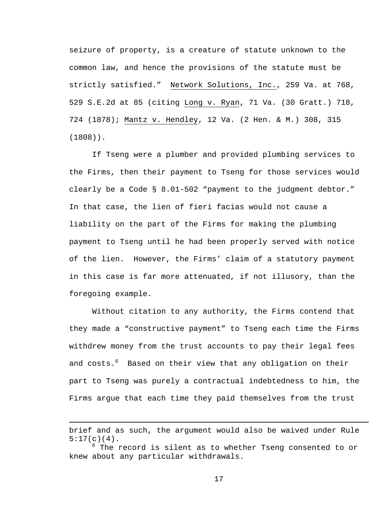seizure of property, is a creature of statute unknown to the common law, and hence the provisions of the statute must be strictly satisfied." Network Solutions, Inc., 259 Va. at 768, 529 S.E.2d at 85 (citing Long v. Ryan, 71 Va. (30 Gratt.) 718, 724 (1878); Mantz v. Hendley, 12 Va. (2 Hen. & M.) 308, 315 (1808)).

 If Tseng were a plumber and provided plumbing services to the Firms, then their payment to Tseng for those services would clearly be a Code § 8.01-502 "payment to the judgment debtor." In that case, the lien of fieri facias would not cause a liability on the part of the Firms for making the plumbing payment to Tseng until he had been properly served with notice of the lien. However, the Firms' claim of a statutory payment in this case is far more attenuated, if not illusory, than the foregoing example.

 Without citation to any authority, the Firms contend that they made a "constructive payment" to Tseng each time the Firms withdrew money from the trust accounts to pay their legal fees and costs.<sup>6</sup> Based on their view that any obligation on their part to Tseng was purely a contractual indebtedness to him, the Firms argue that each time they paid themselves from the trust

i

brief and as such, the argument would also be waived under Rule  $5:17(c)(4)$ .

 $^6$  The record is silent as to whether Tseng consented to or knew about any particular withdrawals.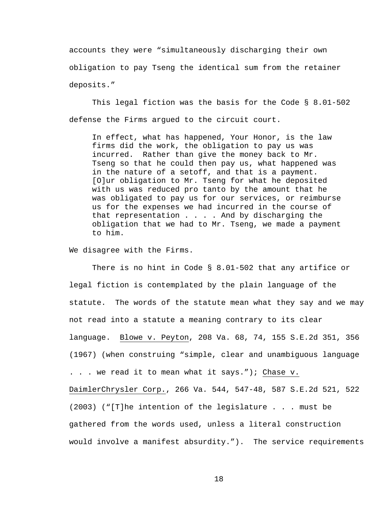accounts they were "simultaneously discharging their own obligation to pay Tseng the identical sum from the retainer deposits."

 This legal fiction was the basis for the Code § 8.01-502 defense the Firms argued to the circuit court.

In effect, what has happened, Your Honor, is the law firms did the work, the obligation to pay us was incurred. Rather than give the money back to Mr. Tseng so that he could then pay us, what happened was in the nature of a setoff, and that is a payment. [O]ur obligation to Mr. Tseng for what he deposited with us was reduced pro tanto by the amount that he was obligated to pay us for our services, or reimburse us for the expenses we had incurred in the course of that representation . . . . And by discharging the obligation that we had to Mr. Tseng, we made a payment to him.

We disagree with the Firms.

 There is no hint in Code § 8.01-502 that any artifice or legal fiction is contemplated by the plain language of the statute. The words of the statute mean what they say and we may not read into a statute a meaning contrary to its clear language. Blowe v. Peyton, 208 Va. 68, 74, 155 S.E.2d 351, 356 (1967) (when construing "simple, clear and unambiguous language . . . we read it to mean what it says."); Chase v. DaimlerChrysler Corp., 266 Va. 544, 547-48, 587 S.E.2d 521, 522 (2003) ("[T]he intention of the legislature . . . must be gathered from the words used, unless a literal construction would involve a manifest absurdity."). The service requirements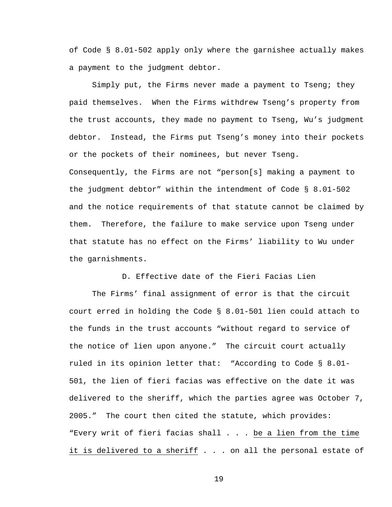of Code § 8.01-502 apply only where the garnishee actually makes a payment to the judgment debtor.

 Simply put, the Firms never made a payment to Tseng; they paid themselves. When the Firms withdrew Tseng's property from the trust accounts, they made no payment to Tseng, Wu's judgment debtor. Instead, the Firms put Tseng's money into their pockets or the pockets of their nominees, but never Tseng. Consequently, the Firms are not "person[s] making a payment to the judgment debtor" within the intendment of Code § 8.01-502 and the notice requirements of that statute cannot be claimed by them. Therefore, the failure to make service upon Tseng under that statute has no effect on the Firms' liability to Wu under the garnishments.

D. Effective date of the Fieri Facias Lien

 The Firms' final assignment of error is that the circuit court erred in holding the Code § 8.01-501 lien could attach to the funds in the trust accounts "without regard to service of the notice of lien upon anyone." The circuit court actually ruled in its opinion letter that: "According to Code § 8.01- 501, the lien of fieri facias was effective on the date it was delivered to the sheriff, which the parties agree was October 7, 2005." The court then cited the statute, which provides: "Every writ of fieri facias shall . . . be a lien from the time it is delivered to a sheriff . . . on all the personal estate of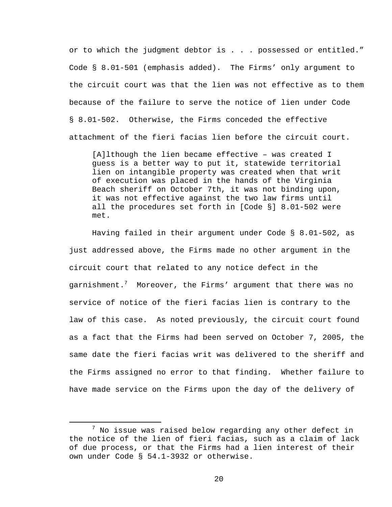or to which the judgment debtor is . . . possessed or entitled." Code § 8.01-501 (emphasis added). The Firms' only argument to the circuit court was that the lien was not effective as to them because of the failure to serve the notice of lien under Code § 8.01-502. Otherwise, the Firms conceded the effective attachment of the fieri facias lien before the circuit court.

[A]lthough the lien became effective – was created I guess is a better way to put it, statewide territorial lien on intangible property was created when that writ of execution was placed in the hands of the Virginia Beach sheriff on October 7th, it was not binding upon, it was not effective against the two law firms until all the procedures set forth in [Code §] 8.01-502 were met.

 Having failed in their argument under Code § 8.01-502, as just addressed above, the Firms made no other argument in the circuit court that related to any notice defect in the garnishment. $^7$  Moreover, the Firms' argument that there was no service of notice of the fieri facias lien is contrary to the law of this case. As noted previously, the circuit court found as a fact that the Firms had been served on October 7, 2005, the same date the fieri facias writ was delivered to the sheriff and the Firms assigned no error to that finding. Whether failure to have made service on the Firms upon the day of the delivery of

 <sup>7</sup>  $^7$  No issue was raised below regarding any other defect in the notice of the lien of fieri facias, such as a claim of lack of due process, or that the Firms had a lien interest of their own under Code § 54.1-3932 or otherwise.